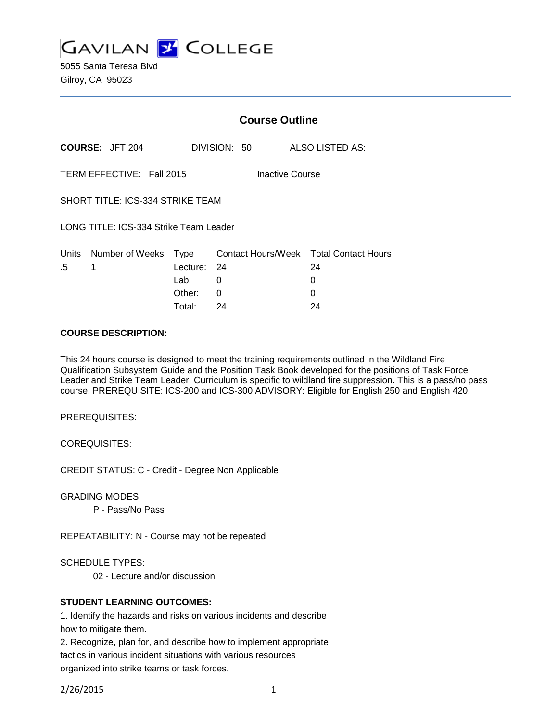**GAVILAN 2 COLLEGE** 

5055 Santa Teresa Blvd Gilroy, CA 95023

|                                         |                           | <b>Course Outline</b> |                                        |                 |  |
|-----------------------------------------|---------------------------|-----------------------|----------------------------------------|-----------------|--|
|                                         | <b>COURSE: JFT 204</b>    |                       | DIVISION: 50                           | ALSO LISTED AS: |  |
|                                         | TERM EFFECTIVE: Fall 2015 |                       | Inactive Course                        |                 |  |
| <b>SHORT TITLE: ICS-334 STRIKE TEAM</b> |                           |                       |                                        |                 |  |
| LONG TITLE: ICS-334 Strike Team Leader  |                           |                       |                                        |                 |  |
| Units                                   | Number of Weeks           | Type                  | Contact Hours/Week Total Contact Hours |                 |  |
| .5                                      | 1                         | Lecture: 24           |                                        | 24              |  |
|                                         |                           | Lab:                  | 0                                      | O               |  |
|                                         |                           | Other:                | 0                                      |                 |  |

#### **COURSE DESCRIPTION:**

This 24 hours course is designed to meet the training requirements outlined in the Wildland Fire Qualification Subsystem Guide and the Position Task Book developed for the positions of Task Force Leader and Strike Team Leader. Curriculum is specific to wildland fire suppression. This is a pass/no pass course. PREREQUISITE: ICS-200 and ICS-300 ADVISORY: Eligible for English 250 and English 420.

Total: 24 24

PREREQUISITES:

COREQUISITES:

CREDIT STATUS: C - Credit - Degree Non Applicable

GRADING MODES

P - Pass/No Pass

REPEATABILITY: N - Course may not be repeated

SCHEDULE TYPES:

02 - Lecture and/or discussion

#### **STUDENT LEARNING OUTCOMES:**

1. Identify the hazards and risks on various incidents and describe how to mitigate them.

2. Recognize, plan for, and describe how to implement appropriate tactics in various incident situations with various resources organized into strike teams or task forces.

2/26/2015 1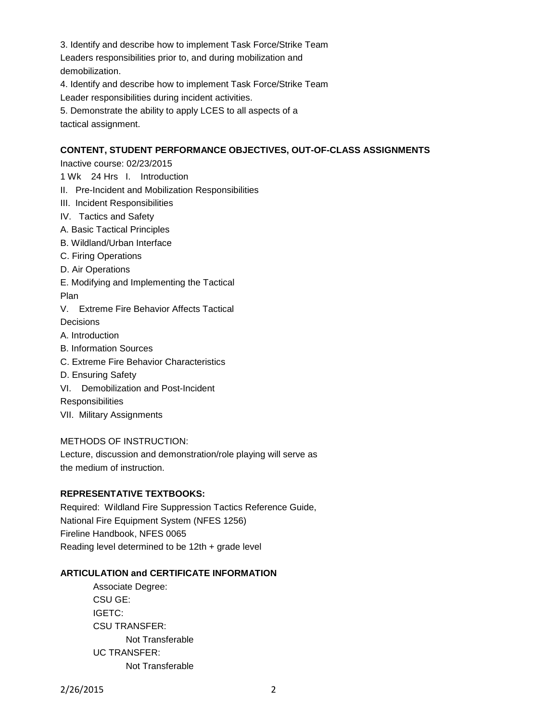3. Identify and describe how to implement Task Force/Strike Team Leaders responsibilities prior to, and during mobilization and demobilization.

4. Identify and describe how to implement Task Force/Strike Team Leader responsibilities during incident activities.

5. Demonstrate the ability to apply LCES to all aspects of a tactical assignment.

# **CONTENT, STUDENT PERFORMANCE OBJECTIVES, OUT-OF-CLASS ASSIGNMENTS**

Inactive course: 02/23/2015

- 1 Wk 24 Hrs I. Introduction
- II. Pre-Incident and Mobilization Responsibilities
- III. Incident Responsibilities
- IV. Tactics and Safety
- A. Basic Tactical Principles
- B. Wildland/Urban Interface
- C. Firing Operations
- D. Air Operations
- E. Modifying and Implementing the Tactical Plan
- V. Extreme Fire Behavior Affects Tactical **Decisions**
- A. Introduction
- B. Information Sources
- C. Extreme Fire Behavior Characteristics
- D. Ensuring Safety
- VI. Demobilization and Post-Incident

**Responsibilities** 

VII. Military Assignments

## METHODS OF INSTRUCTION:

Lecture, discussion and demonstration/role playing will serve as the medium of instruction.

## **REPRESENTATIVE TEXTBOOKS:**

Required: Wildland Fire Suppression Tactics Reference Guide, National Fire Equipment System (NFES 1256) Fireline Handbook, NFES 0065 Reading level determined to be 12th + grade level

## **ARTICULATION and CERTIFICATE INFORMATION**

Associate Degree: CSU GE: IGETC: CSU TRANSFER: Not Transferable UC TRANSFER: Not Transferable